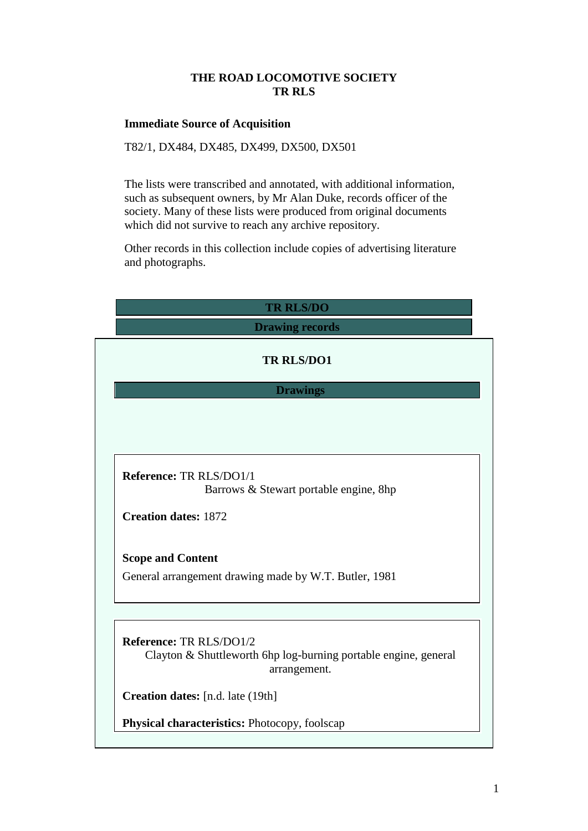### **THE ROAD LOCOMOTIVE SOCIETY TR RLS**

### **Immediate Source of Acquisition**

T82/1, DX484, DX485, DX499, DX500, DX501

The lists were transcribed and annotated, with additional information, such as subsequent owners, by Mr Alan Duke, records officer of the society. Many of these lists were produced from original documents which did not survive to reach any archive repository.

Other records in this collection include copies of advertising literature and photographs.

| <b>TR RLS/DO</b>                                                                           |
|--------------------------------------------------------------------------------------------|
| <b>Drawing records</b>                                                                     |
| <b>TR RLS/DO1</b>                                                                          |
| <b>Drawings</b>                                                                            |
|                                                                                            |
|                                                                                            |
|                                                                                            |
| Reference: TR RLS/DO1/1<br>Barrows & Stewart portable engine, 8hp                          |
| <b>Creation dates: 1872</b>                                                                |
|                                                                                            |
| <b>Scope and Content</b>                                                                   |
| General arrangement drawing made by W.T. Butler, 1981                                      |
|                                                                                            |
|                                                                                            |
| Reference: TR RLS/DO1/2<br>Clayton & Shuttleworth 6hp log-burning portable engine, general |
| arrangement.                                                                               |
| Creation dates: [n.d. late (19th]                                                          |
|                                                                                            |
| Physical characteristics: Photocopy, foolscap                                              |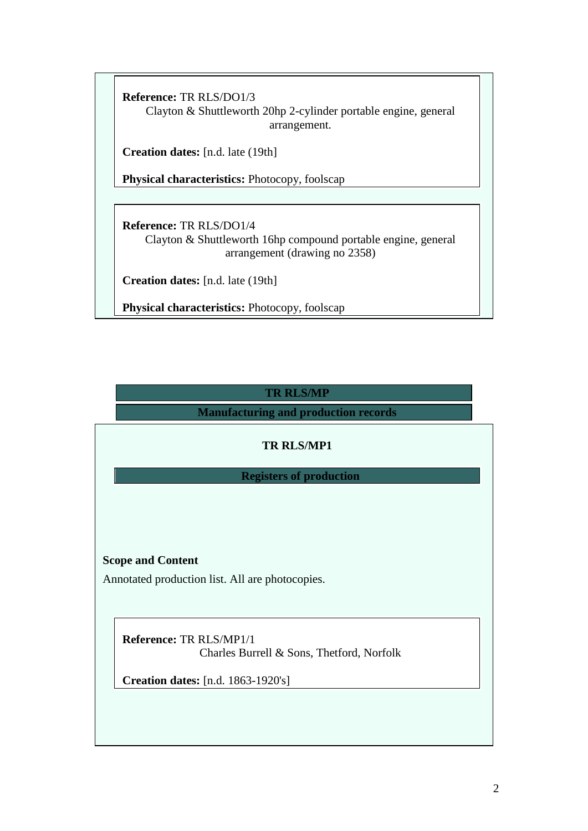**Reference:** TR RLS/DO1/3

Clayton & Shuttleworth 20hp 2-cylinder portable engine, general arrangement.

**Creation dates:** [n.d. late (19th]

**Physical characteristics:** Photocopy, foolscap

**Reference:** TR RLS/DO1/4 Clayton & Shuttleworth 16hp compound portable engine, general arrangement (drawing no 2358)

**Creation dates:** [n.d. late (19th]

**Physical characteristics:** Photocopy, foolscap

# **TR RLS/MP**

**Manufacturing and production records**

# **TR RLS/MP1**

**Registers of production**

### **Scope and Content**

Annotated production list. All are photocopies.

**Reference:** TR RLS/MP1/1

Charles Burrell & Sons, Thetford, Norfolk

**Creation dates:** [n.d. 1863-1920's]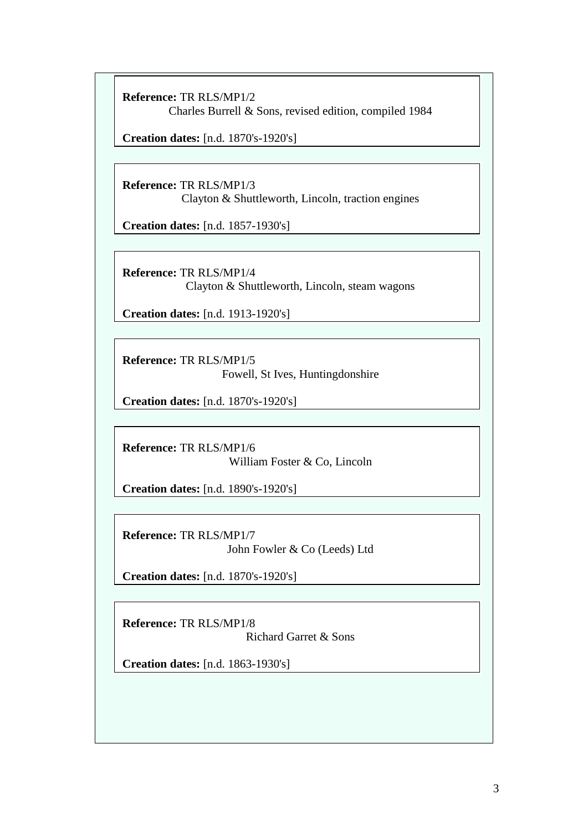**Reference:** TR RLS/MP1/2 Charles Burrell & Sons, revised edition, compiled 1984

**Creation dates:** [n.d. 1870's-1920's]

**Reference:** TR RLS/MP1/3 Clayton & Shuttleworth, Lincoln, traction engines

**Creation dates:** [n.d. 1857-1930's]

**Reference:** TR RLS/MP1/4 Clayton & Shuttleworth, Lincoln, steam wagons

**Creation dates:** [n.d. 1913-1920's]

**Reference:** TR RLS/MP1/5 Fowell, St Ives, Huntingdonshire

**Creation dates:** [n.d. 1870's-1920's]

**Reference:** TR RLS/MP1/6 William Foster & Co, Lincoln

**Creation dates:** [n.d. 1890's-1920's]

**Reference:** TR RLS/MP1/7 John Fowler & Co (Leeds) Ltd

**Creation dates:** [n.d. 1870's-1920's]

**Reference:** TR RLS/MP1/8 Richard Garret & Sons

**Creation dates:** [n.d. 1863-1930's]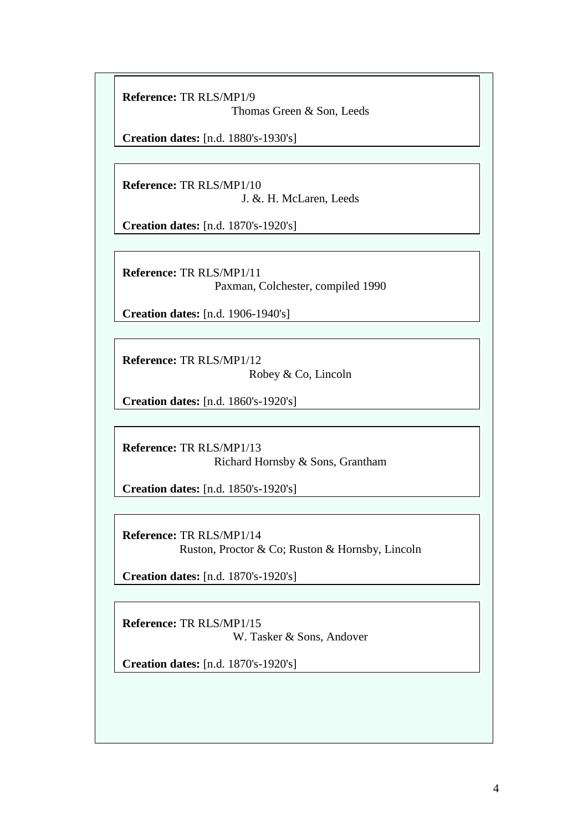**Reference:** TR RLS/MP1/9 Thomas Green & Son, Leeds

**Creation dates:** [n.d. 1880's-1930's]

**Reference:** TR RLS/MP1/10 J. &. H. McLaren, Leeds

**Creation dates:** [n.d. 1870's-1920's]

**Reference:** TR RLS/MP1/11 Paxman, Colchester, compiled 1990

**Creation dates:** [n.d. 1906-1940's]

**Reference:** TR RLS/MP1/12 Robey & Co, Lincoln

**Creation dates:** [n.d. 1860's-1920's]

**Reference:** TR RLS/MP1/13 Richard Hornsby & Sons, Grantham

**Creation dates:** [n.d. 1850's-1920's]

**Reference:** TR RLS/MP1/14 Ruston, Proctor & Co; Ruston & Hornsby, Lincoln

**Creation dates:** [n.d. 1870's-1920's]

**Reference:** TR RLS/MP1/15 W. Tasker & Sons, Andover

**Creation dates:** [n.d. 1870's-1920's]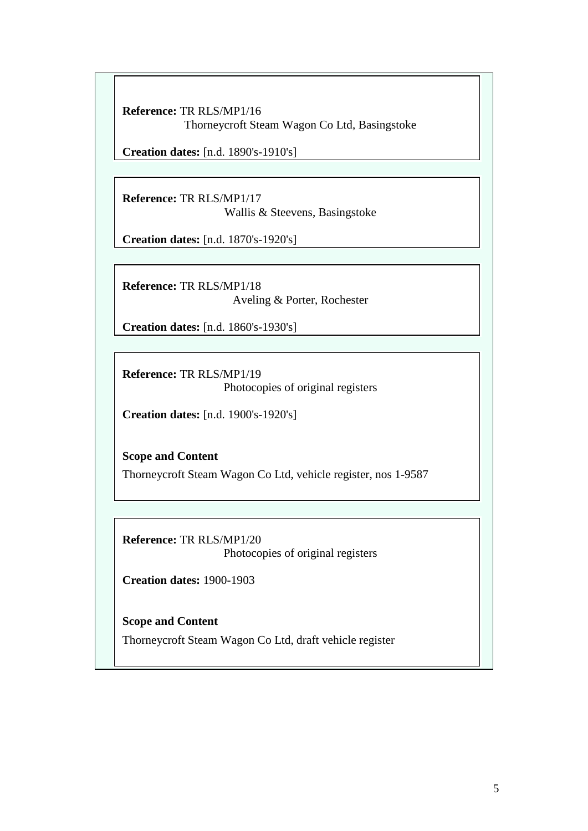**Reference:** TR RLS/MP1/16 Thorneycroft Steam Wagon Co Ltd, Basingstoke

**Creation dates:** [n.d. 1890's-1910's]

**Reference:** TR RLS/MP1/17 Wallis & Steevens, Basingstoke

**Creation dates:** [n.d. 1870's-1920's]

**Reference:** TR RLS/MP1/18 Aveling & Porter, Rochester

**Creation dates:** [n.d. 1860's-1930's]

**Reference:** TR RLS/MP1/19 Photocopies of original registers

**Creation dates:** [n.d. 1900's-1920's]

**Scope and Content** Thorneycroft Steam Wagon Co Ltd, vehicle register, nos 1-9587

**Reference:** TR RLS/MP1/20 Photocopies of original registers

**Creation dates:** 1900-1903

**Scope and Content** Thorneycroft Steam Wagon Co Ltd, draft vehicle register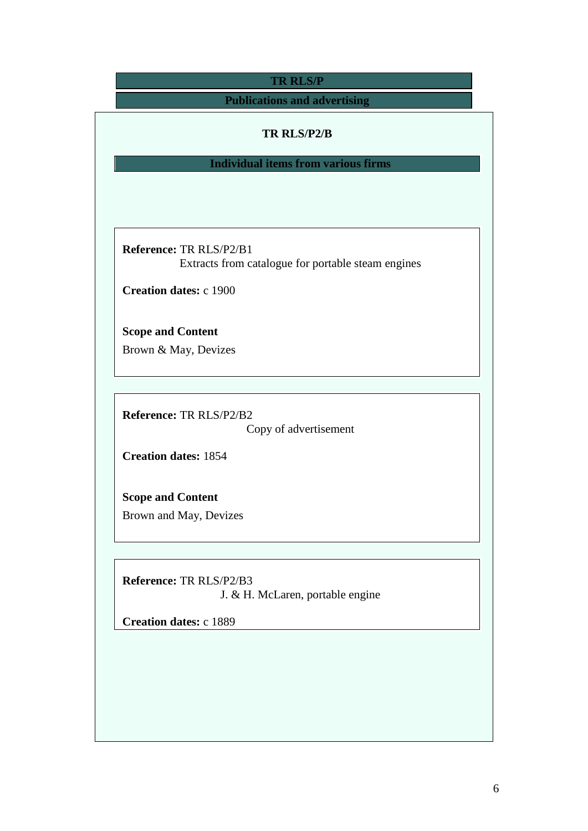| <b>TR RLS/P</b>                                                                      |
|--------------------------------------------------------------------------------------|
| <b>Publications and advertising</b>                                                  |
| TR RLS/P2/B                                                                          |
| <b>Individual items from various firms</b>                                           |
|                                                                                      |
|                                                                                      |
|                                                                                      |
| <b>Reference: TR RLS/P2/B1</b><br>Extracts from catalogue for portable steam engines |
|                                                                                      |
| <b>Creation dates: c 1900</b>                                                        |
| <b>Scope and Content</b>                                                             |
| Brown & May, Devizes                                                                 |
|                                                                                      |
|                                                                                      |
| Reference: TR RLS/P2/B2                                                              |
| Copy of advertisement                                                                |
| <b>Creation dates: 1854</b>                                                          |
| <b>Scope and Content</b>                                                             |
| Brown and May, Devizes                                                               |
|                                                                                      |
|                                                                                      |
| Reference: TR RLS/P2/B3                                                              |
| J. & H. McLaren, portable engine                                                     |
| <b>Creation dates: c 1889</b>                                                        |
|                                                                                      |
|                                                                                      |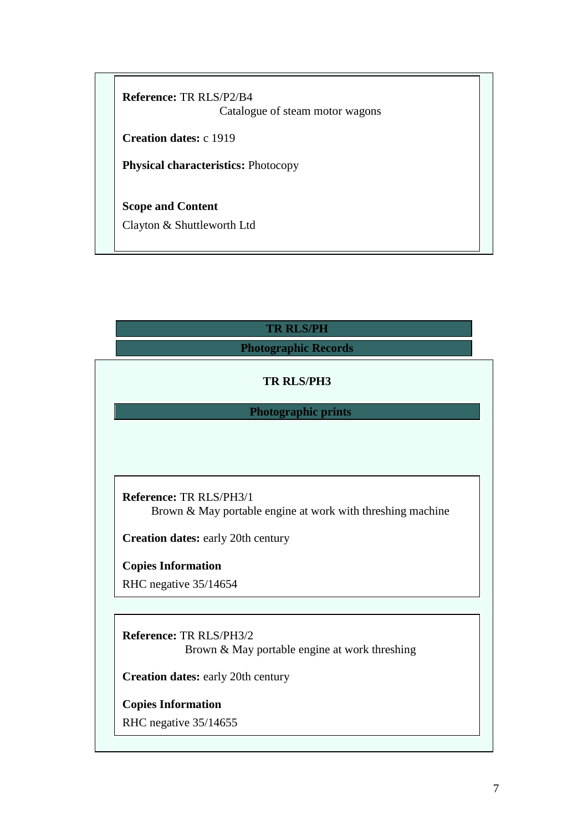**Reference:** TR RLS/P2/B4 Catalogue of steam motor wagons

**Creation dates:** c 1919

**Physical characteristics:** Photocopy

**Scope and Content** Clayton & Shuttleworth Ltd

# **TR RLS/PH**

## **Photographic Records**

### **TR RLS/PH3**

### **Photographic prints**

**Reference:** TR RLS/PH3/1 Brown & May portable engine at work with threshing machine

**Creation dates:** early 20th century

**Copies Information** RHC negative 35/14654

**Reference:** TR RLS/PH3/2 Brown & May portable engine at work threshing

**Creation dates:** early 20th century

**Copies Information**

RHC negative 35/14655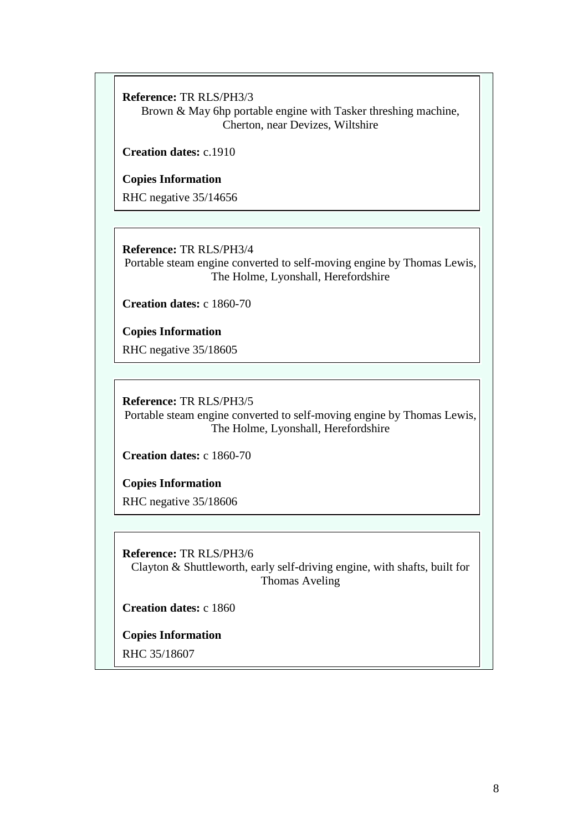**Reference:** TR RLS/PH3/3

Brown & May 6hp portable engine with Tasker threshing machine, Cherton, near Devizes, Wiltshire

**Creation dates:** c.1910

**Copies Information**

RHC negative 35/14656

**Reference:** TR RLS/PH3/4 Portable steam engine converted to self-moving engine by Thomas Lewis, The Holme, Lyonshall, Herefordshire

**Creation dates:** c 1860-70

**Copies Information** RHC negative 35/18605

**Reference:** TR RLS/PH3/5 Portable steam engine converted to self-moving engine by Thomas Lewis, The Holme, Lyonshall, Herefordshire

**Creation dates:** c 1860-70

**Copies Information**

RHC negative 35/18606

**Reference:** TR RLS/PH3/6 Clayton & Shuttleworth, early self-driving engine, with shafts, built for Thomas Aveling

**Creation dates:** c 1860

**Copies Information**

RHC 35/18607